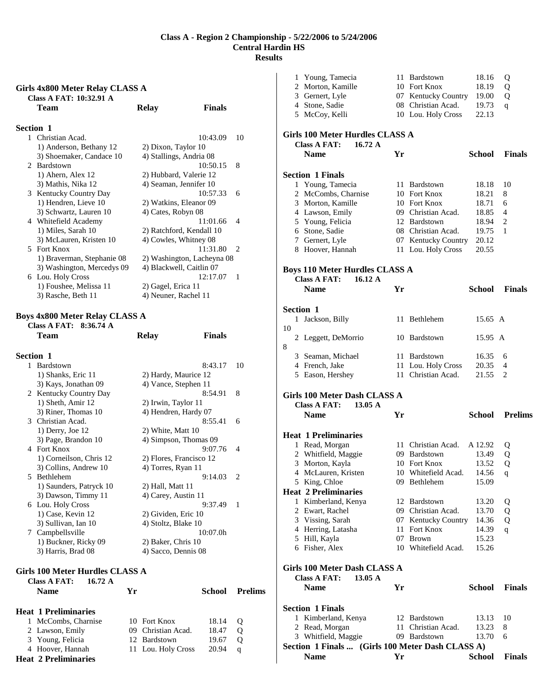#### **Girls 4x800 Meter Relay CLASS A Class A FAT: 10:32.91 A**

|                  | Team                       | <b>Relay</b>               | <b>Finals</b> |
|------------------|----------------------------|----------------------------|---------------|
| <b>Section 1</b> |                            |                            |               |
|                  | 1 Christian Acad.          | 10:43.09                   | 10            |
|                  | 1) Anderson, Bethany 12    | 2) Dixon, Taylor 10        |               |
|                  | 3) Shoemaker, Candace 10   | 4) Stallings, Andria 08    |               |
|                  | 2 Bardstown                | 10:50.15                   | 8             |
|                  | 1) Ahern, Alex 12          | 2) Hubbard, Valerie 12     |               |
|                  | 3) Mathis, Nika 12         | 4) Seaman, Jennifer 10     |               |
|                  | 3 Kentucky Country Day     | 10:57.33                   | 6             |
|                  | 1) Hendren, Lieve 10       | 2) Watkins, Eleanor 09     |               |
|                  | 3) Schwartz, Lauren 10     | 4) Cates, Robyn 08         |               |
|                  | 4 Whitefield Academy       | 11:01.66                   | 4             |
|                  | 1) Miles, Sarah 10         | 2) Ratchford, Kendall 10   |               |
|                  | 3) McLauren, Kristen 10    | 4) Cowles, Whitney 08      |               |
|                  | 5 Fort Knox                | 11:31.80                   | 2             |
|                  | 1) Braverman, Stephanie 08 | 2) Washington, Lacheyna 08 |               |
|                  | 3) Washington, Mercedys 09 | 4) Blackwell, Caitlin 07   |               |
|                  | 6 Lou. Holy Cross          | 12:17.07                   | 1             |
|                  | 1) Foushee, Melissa 11     | 2) Gagel, Erica 11         |               |
|                  | 3) Rasche, Beth 11         | 4) Neuner, Rachel 11       |               |
|                  |                            |                            |               |

#### **Boys 4x800 Meter Relay CLASS A**

**Class A FAT: 8:36.74 A** 

|              | Team                    | <b>Relay</b>            | <b>Finals</b> |    |
|--------------|-------------------------|-------------------------|---------------|----|
|              | <b>Section 1</b>        |                         |               |    |
| $\mathbf{1}$ | <b>Bardstown</b>        |                         | 8:43.17       | 10 |
|              | 1) Shanks, Eric 11      | 2) Hardy, Maurice 12    |               |    |
|              | 3) Kays, Jonathan 09    | 4) Vance, Stephen 11    |               |    |
|              | 2 Kentucky Country Day  |                         | 8:54.91       | 8  |
|              | 1) Sheth, Amir 12       | 2) Irwin, Taylor 11     |               |    |
|              | 3) Riner, Thomas 10     | 4) Hendren, Hardy 07    |               |    |
|              | 3 Christian Acad.       |                         | 8:55.41       | 6  |
|              | 1) Derry, Joe 12        | 2) White, Matt 10       |               |    |
|              | 3) Page, Brandon 10     | 4) Simpson, Thomas 09   |               |    |
|              | 4 Fort Knox             |                         | 9:07.76       | 4  |
|              | 1) Corneilson, Chris 12 | 2) Flores, Francisco 12 |               |    |
|              | 3) Collins, Andrew 10   | 4) Torres, Ryan 11      |               |    |
|              | 5 Bethlehem             |                         | 9:14.03       | 2  |
|              | 1) Saunders, Patryck 10 | 2) Hall, Matt 11        |               |    |
|              | 3) Dawson, Timmy 11     | 4) Carey, Austin 11     |               |    |
|              | 6 Lou. Holy Cross       |                         | 9:37.49       | 1  |
|              | 1) Case, Kevin 12       | 2) Gividen, Eric 10     |               |    |
|              | 3) Sullivan, Ian 10     | 4) Stoltz, Blake 10     |               |    |
|              | 7 Campbellsville        |                         | 10:07.0h      |    |
|              | 1) Buckner, Ricky 09    | 2) Baker, Chris 10      |               |    |
|              | 3) Harris, Brad 08      | 4) Sacco, Dennis 08     |               |    |
|              |                         |                         |               |    |

# **Girls 100 Meter Hurdles CLASS A**

| Class A FAT:<br>16.72 A<br><b>Name</b> | Yг |                    | School | <b>Prelims</b> |
|----------------------------------------|----|--------------------|--------|----------------|
| <b>Heat 1 Preliminaries</b>            |    |                    |        |                |
| 1 McCombs, Charnise                    |    | 10 Fort Knox       | 18.14  | Ő              |
| 2 Lawson, Emily                        |    | 09 Christian Acad. | 18.47  | O              |
| 3 Young, Felicia                       |    | 12 Bardstown       | 19.67  | О              |
| 4 Hoover, Hannah                       |    | 11 Lou. Holy Cross | 20.94  | q              |
| <b>Heat 2 Preliminaries</b>            |    |                    |        |                |

|    | 1 Young, Tamecia                                 |    | 11 Bardstown        | 18.16         | Q              |
|----|--------------------------------------------------|----|---------------------|---------------|----------------|
| 2  | Morton, Kamille                                  |    | 10 Fort Knox        | 18.19         | Q              |
|    |                                                  |    |                     |               |                |
|    | 3 Gernert, Lyle                                  |    | 07 Kentucky Country | 19.00         | Q              |
|    | 4 Stone, Sadie                                   |    | 08 Christian Acad.  | 19.73         | q              |
|    | 5 McCoy, Kelli                                   |    | 10 Lou. Holy Cross  | 22.13         |                |
|    | <b>Girls 100 Meter Hurdles CLASS A</b>           |    |                     |               |                |
|    | <b>Class A FAT:</b><br>16.72A                    |    |                     |               |                |
|    | <b>Name</b>                                      | Yr |                     | <b>School</b> | <b>Finals</b>  |
|    |                                                  |    |                     |               |                |
|    |                                                  |    |                     |               |                |
|    | <b>Section 1 Finals</b>                          |    |                     |               |                |
|    | 1 Young, Tamecia                                 |    | 11 Bardstown        | 18.18         | 10             |
|    | 2 McCombs, Charnise                              |    | 10 Fort Knox        | 18.21         | 8              |
|    | 3 Morton, Kamille                                |    | 10 Fort Knox        | 18.71         | 6              |
|    | 4 Lawson, Emily                                  |    | 09 Christian Acad.  | 18.85         | 4              |
|    | 5 Young, Felicia                                 |    | 12 Bardstown        | 18.94         | 2              |
|    |                                                  |    |                     |               |                |
|    | 6 Stone, Sadie                                   |    | 08 Christian Acad.  | 19.75         | 1              |
|    | 7 Gernert, Lyle                                  |    | 07 Kentucky Country | 20.12         |                |
|    | 8 Hoover, Hannah                                 |    | 11 Lou. Holy Cross  | 20.55         |                |
|    | <b>Boys 110 Meter Hurdles CLASS A</b>            |    |                     |               |                |
|    | <b>Class A FAT:</b><br>$16.12 \text{ A}$         |    |                     |               |                |
|    | <b>Name</b>                                      | Yr |                     | <b>School</b> | <b>Finals</b>  |
|    |                                                  |    |                     |               |                |
|    |                                                  |    |                     |               |                |
|    | <b>Section 1</b>                                 |    |                     |               |                |
|    | 1 Jackson, Billy                                 |    | 11 Bethlehem        | 15.65 A       |                |
| 10 |                                                  |    |                     |               |                |
| 2  | Leggett, DeMorrio                                |    | 10 Bardstown        | 15.95 A       |                |
| 8  |                                                  |    |                     |               |                |
|    | 3 Seaman, Michael                                |    | 11 Bardstown        | 16.35         | 6              |
|    | 4 French, Jake                                   |    | 11 Lou. Holy Cross  | 20.35         | 4              |
|    |                                                  |    | 11 Christian Acad.  | 21.55         | 2              |
|    | 5 Eason, Hershey                                 |    |                     |               |                |
|    |                                                  |    |                     |               |                |
|    | Girls 100 Meter Dash CLASS A                     |    |                     |               |                |
|    | <b>Class A FAT:</b><br>13.05A                    |    |                     |               |                |
|    | <b>Name</b>                                      | Yr |                     | School        | <b>Prelims</b> |
|    |                                                  |    |                     |               |                |
|    | <b>Heat 1 Preliminaries</b>                      |    |                     |               |                |
|    |                                                  |    |                     |               |                |
|    | 1 Read, Morgan                                   |    | 11 Christian Acad.  | A 12.92       | Q              |
| 2  | Whitfield, Maggie                                |    | 09 Bardstown        | 13.49         | Q              |
|    | 3 Morton, Kayla                                  |    | 10 Fort Knox        | 13.52         | Q              |
|    | 4 McLauren, Kristen                              |    | 10 Whitefield Acad. | 14.56         | q              |
|    | 5 King, Chloe                                    |    | 09 Bethlehem        | 15.09         |                |
|    | <b>Heat 2 Preliminaries</b>                      |    |                     |               |                |
|    | 1 Kimberland, Kenya                              |    | 12 Bardstown        | 13.20         | Q              |
|    | 2 Ewart, Rachel                                  |    | 09 Christian Acad.  | 13.70         | Q              |
|    | 3 Vissing, Sarah                                 |    | 07 Kentucky Country | 14.36         | Q              |
|    | 4 Herring, Latasha                               |    | 11 Fort Knox        | 14.39         | q              |
|    | 5 Hill, Kayla                                    |    | 07 Brown            | 15.23         |                |
|    |                                                  |    | 10 Whitefield Acad. |               |                |
|    | 6 Fisher, Alex                                   |    |                     | 15.26         |                |
|    |                                                  |    |                     |               |                |
|    | Girls 100 Meter Dash CLASS A                     |    |                     |               |                |
|    | <b>Class A FAT:</b><br>$13.05 \text{ A}$         |    |                     |               |                |
|    | <b>Name</b>                                      | Yr |                     | <b>School</b> | <b>Finals</b>  |
|    |                                                  |    |                     |               |                |
|    |                                                  |    |                     |               |                |
|    | <b>Section 1 Finals</b>                          |    |                     |               |                |
|    | 1 Kimberland, Kenya                              |    | 12 Bardstown        | 13.13         | 10             |
| 2  | Read, Morgan                                     |    | 11 Christian Acad.  | 13.23         | 8              |
|    | 3 Whitfield, Maggie                              |    | 09 Bardstown        | 13.70         | 6              |
|    | Section 1 Finals  (Girls 100 Meter Dash CLASS A) |    |                     |               |                |
|    | <b>Name</b>                                      | Yr |                     | <b>School</b> | <b>Finals</b>  |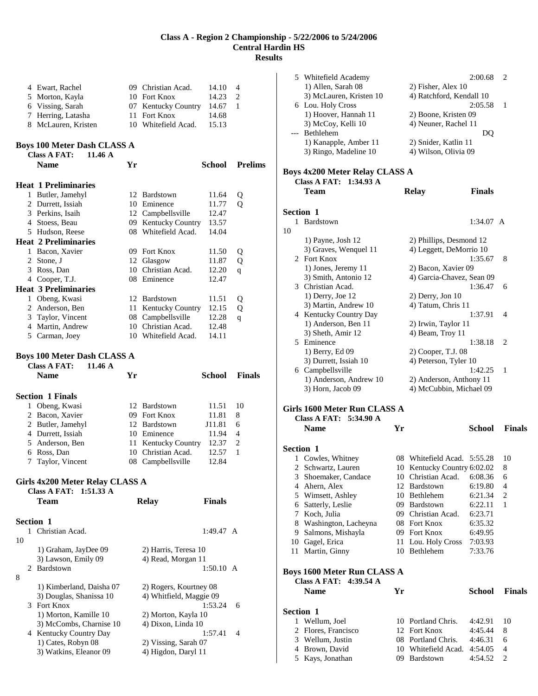|                | 4 Ewart, Rachel                                           |    | 09 Christian Acad.                                | 14.10         | 4              |                |
|----------------|-----------------------------------------------------------|----|---------------------------------------------------|---------------|----------------|----------------|
|                | 5 Morton, Kayla                                           |    | 10 Fort Knox                                      | 14.23         | 2              |                |
|                | 6 Vissing, Sarah                                          |    | 07 Kentucky Country                               | 14.67         | -1             |                |
|                | 7 Herring, Latasha                                        |    | 11 Fort Knox                                      | 14.68         |                |                |
|                | 8 McLauren, Kristen                                       |    | 10 Whitefield Acad.                               | 15.13         |                |                |
|                |                                                           |    |                                                   |               |                |                |
|                | <b>Boys 100 Meter Dash CLASS A</b>                        |    |                                                   |               |                |                |
|                | <b>Class A FAT:</b><br>11.46 A                            |    |                                                   |               |                |                |
|                | <b>Name</b>                                               | Yr |                                                   | <b>School</b> |                | <b>Prelims</b> |
|                | <b>Heat 1 Preliminaries</b>                               |    |                                                   |               |                |                |
|                | 1 Butler, Jamehyl                                         |    | 12 Bardstown                                      | 11.64         |                |                |
|                | 2 Durrett, Issiah                                         |    | 10 Eminence                                       | 11.77         | Q<br>Q         |                |
|                | 3 Perkins, Isaih                                          |    | 12 Campbellsville                                 | 12.47         |                |                |
|                | 4 Stoess, Beau                                            |    | 09 Kentucky Country                               | 13.57         |                |                |
|                | 5 Hudson, Reese                                           |    | 08 Whitefield Acad.                               | 14.04         |                |                |
|                | <b>Heat 2 Preliminaries</b>                               |    |                                                   |               |                |                |
|                | 1 Bacon, Xavier                                           |    | 09 Fort Knox                                      |               |                |                |
| $\overline{2}$ |                                                           |    |                                                   | 11.50         | Q              |                |
|                | Stone, J                                                  |    | 12 Glasgow<br>10 Christian Acad.                  | 11.87         | Q              |                |
|                | 3 Ross, Dan                                               |    |                                                   | 12.20         | q              |                |
|                | 4 Cooper, T.J.                                            |    | 08 Eminence                                       | 12.47         |                |                |
|                | <b>Heat 3 Preliminaries</b>                               |    |                                                   |               |                |                |
|                | 1 Obeng, Kwasi                                            |    | 12 Bardstown                                      | 11.51         | Q              |                |
|                | 2 Anderson, Ben                                           |    | 11 Kentucky Country                               | 12.15         | Q              |                |
|                | 3 Taylor, Vincent                                         |    | 08 Campbellsville                                 | 12.28         | q              |                |
|                | 4 Martin, Andrew                                          |    | 10 Christian Acad.                                | 12.48         |                |                |
|                | 5 Carman, Joey                                            |    | 10 Whitefield Acad.                               | 14.11         |                |                |
|                | <b>Boys 100 Meter Dash CLASS A</b>                        |    |                                                   |               |                |                |
|                | <b>Class A FAT:</b><br>11.46 A                            |    |                                                   |               |                |                |
|                |                                                           |    |                                                   |               |                |                |
|                |                                                           |    |                                                   |               |                |                |
|                | <b>Name</b>                                               | Yr |                                                   | <b>School</b> | <b>Finals</b>  |                |
|                |                                                           |    |                                                   |               |                |                |
|                | <b>Section 1 Finals</b>                                   |    |                                                   |               |                |                |
|                | 1 Obeng, Kwasi                                            |    | 12 Bardstown                                      | 11.51         | 10             |                |
|                | 2 Bacon, Xavier                                           |    | 09 Fort Knox                                      | 11.81         | 8              |                |
|                | 2 Butler, Jamehyl                                         |    | 12 Bardstown                                      | J11.81        | 6              |                |
|                | 4 Durrett, Issiah                                         |    | 10 Eminence                                       | 11.94         | 4              |                |
|                | 5 Anderson, Ben                                           |    | 11 Kentucky Country                               | 12.37         | $\overline{c}$ |                |
|                | 6 Ross, Dan                                               |    | 10 Christian Acad.                                | 12.57         | 1              |                |
| 7              | Taylor, Vincent                                           |    | 08 Campbellsville                                 | 12.84         |                |                |
|                |                                                           |    |                                                   |               |                |                |
|                | Girls 4x200 Meter Relay CLASS A<br>Class A FAT: 1:51.33 A |    |                                                   |               |                |                |
|                | Team                                                      |    |                                                   |               |                |                |
|                |                                                           |    | <b>Relay</b>                                      | <b>Finals</b> |                |                |
|                | <b>Section 1</b>                                          |    |                                                   |               |                |                |
|                | 1 Christian Acad.                                         |    |                                                   | 1:49.47 A     |                |                |
| 10             |                                                           |    |                                                   |               |                |                |
|                | 1) Graham, JayDee 09                                      |    | 2) Harris, Teresa 10                              |               |                |                |
|                | 3) Lawson, Emily 09                                       |    | 4) Read, Morgan 11                                |               |                |                |
| 2              | Bardstown                                                 |    |                                                   | 1:50.10 A     |                |                |
|                |                                                           |    |                                                   |               |                |                |
| 8              | 1) Kimberland, Daisha 07                                  |    |                                                   |               |                |                |
|                | 3) Douglas, Shanissa 10                                   |    | 2) Rogers, Kourtney 08<br>4) Whitfield, Maggie 09 |               |                |                |
|                | 3 Fort Knox                                               |    |                                                   | 1:53.24       | 6              |                |
|                | 1) Morton, Kamille 10                                     |    | 2) Morton, Kayla 10                               |               |                |                |
|                | 3) McCombs, Charnise 10                                   |    | 4) Dixon, Linda 10                                |               |                |                |
|                | 4 Kentucky Country Day                                    |    |                                                   | 1:57.41       | 4              |                |
|                | 1) Cates, Robyn 08                                        |    | 2) Vissing, Sarah 07                              |               |                |                |

|                  | 5 Whitefield Academy                  |    |                                    | 2:00.68       | 2             |
|------------------|---------------------------------------|----|------------------------------------|---------------|---------------|
|                  | 1) Allen, Sarah 08                    |    | 2) Fisher, Alex 10                 |               |               |
|                  | 3) McLauren, Kristen 10               |    | 4) Ratchford, Kendall 10           |               |               |
|                  | 6 Lou. Holy Cross                     |    |                                    | 2:05.58       | 1             |
|                  | 1) Hoover, Hannah 11                  |    | 2) Boone, Kristen 09               |               |               |
|                  | 3) McCoy, Kelli 10                    |    | 4) Neuner, Rachel 11               |               |               |
|                  | --- Bethlehem                         |    |                                    | DQ            |               |
|                  |                                       |    |                                    |               |               |
|                  | 1) Kanapple, Amber 11                 |    | 2) Snider, Katlin 11               |               |               |
|                  | 3) Ringo, Madeline 10                 |    | 4) Wilson, Olivia 09               |               |               |
|                  |                                       |    |                                    |               |               |
|                  | <b>Boys 4x200 Meter Relay CLASS A</b> |    |                                    |               |               |
|                  | Class A FAT: 1:34.93 A                |    |                                    |               |               |
|                  | Team                                  |    | <b>Relay</b>                       | <b>Finals</b> |               |
|                  |                                       |    |                                    |               |               |
| <b>Section 1</b> |                                       |    |                                    |               |               |
| 1                | Bardstown                             |    |                                    | 1:34.07 A     |               |
| 10               |                                       |    |                                    |               |               |
|                  | 1) Payne, Josh 12                     |    | 2) Phillips, Desmond 12            |               |               |
|                  | 3) Graves, Wenquel 11                 |    | 4) Leggett, DeMorrio 10            |               |               |
|                  | 2 Fort Knox                           |    |                                    | 1:35.67       | 8             |
|                  | 1) Jones, Jeremy 11                   |    | 2) Bacon, Xavier 09                |               |               |
|                  | 3) Smith, Antonio 12                  |    | 4) Garcia-Chavez, Sean 09          |               |               |
|                  | 3 Christian Acad.                     |    |                                    | 1:36.47       | 6             |
|                  | 1) Derry, Joe 12                      |    | $2)$ Derry, Jon 10                 |               |               |
|                  | 3) Martin, Andrew 10                  |    | 4) Tatum, Chris 11                 |               |               |
|                  | 4 Kentucky Country Day                |    |                                    | 1:37.91       | 4             |
|                  |                                       |    |                                    |               |               |
|                  | 1) Anderson, Ben 11                   |    | 2) Irwin, Taylor 11                |               |               |
|                  | 3) Sheth, Amir 12                     |    | 4) Beam, Troy 11                   |               |               |
|                  | 5 Eminence                            |    |                                    | 1:38.18       | 2             |
|                  | 1) Berry, Ed 09                       |    | 2) Cooper, T.J. 08                 |               |               |
|                  | 3) Durrett, Issiah 10                 |    | 4) Peterson, Tyler 10              |               |               |
|                  | 6 Campbellsville                      |    |                                    | 1:42.25       | 1             |
|                  |                                       |    |                                    |               |               |
|                  | 1) Anderson, Andrew 10                |    | 2) Anderson, Anthony 11            |               |               |
|                  | 3) Horn, Jacob 09                     |    | 4) McCubbin, Michael 09            |               |               |
|                  |                                       |    |                                    |               |               |
|                  | Girls 1600 Meter Run CLASS A          |    |                                    |               |               |
|                  | Class A FAT: 5:34.90 A                |    |                                    |               |               |
|                  | <b>Name</b>                           | Yr |                                    | School        | <b>Finals</b> |
|                  |                                       |    |                                    |               |               |
| Section 1        |                                       |    |                                    |               |               |
|                  | 1 Cowles, Whitney                     |    | 08 Whitefield Acad. 5:55.28        |               | 10            |
|                  | 2 Schwartz, Lauren                    |    | 10 Kentucky Country 6:02.02        |               | 8             |
| 3                | Shoemaker, Candace                    |    | 10 Christian Acad.                 | 6:08.36       | 6             |
|                  | 4 Ahern, Alex                         |    | 12 Bardstown                       | 6:19.80       | 4             |
|                  | 5 Wimsett, Ashley                     |    | 10 Bethlehem                       | 6:21.34       | 2             |
|                  | 6 Satterly, Leslie                    |    | 09 Bardstown                       | 6:22.11       | 1             |
| 7                | Koch, Julia                           |    | 09 Christian Acad.                 | 6:23.71       |               |
| 8                | Washington, Lacheyna                  |    | 08 Fort Knox                       | 6:35.32       |               |
| 9                | Salmons, Mishayla                     |    | 09 Fort Knox                       | 6:49.95       |               |
|                  |                                       |    |                                    | 7:03.93       |               |
|                  | 10 Gagel, Erica                       |    | 11 Lou. Holy Cross<br>10 Bethlehem | 7:33.76       |               |
|                  | 11 Martin, Ginny                      |    |                                    |               |               |
|                  |                                       |    |                                    |               |               |
|                  | Boys 1600 Meter Run CLASS A           |    |                                    |               |               |
|                  | Class A FAT: 4:39.54 A                |    |                                    |               |               |
|                  | <b>Name</b>                           | Yr |                                    | School        | <b>Finals</b> |
|                  |                                       |    |                                    |               |               |
| <b>Section 1</b> |                                       |    |                                    |               |               |
| 1                | Wellum, Joel                          |    | 10 Portland Chris.                 | 4:42.91       | 10            |
| 2                | Flores, Francisco                     |    | 12 Fort Knox                       | 4:45.44       | 8             |
|                  | 3 Wellum, Justin                      |    | 08 Portland Chris.                 | 4:46.31       | 6             |
|                  | 4 Brown, David                        |    | 10 Whitefield Acad.                | 4:54.05       | 4             |
|                  | 5 Kays, Jonathan                      |    | 09 Bardstown                       | 4:54.52       | 2             |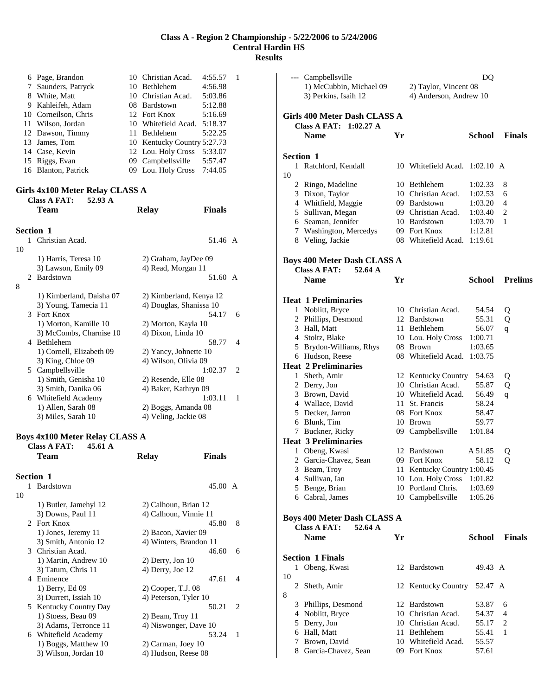|   | 6 Page, Brandon      | 10 Christian Acad.          | 4:55.57 |  |
|---|----------------------|-----------------------------|---------|--|
|   | 7 Saunders, Patryck  | 10 Bethlehem                | 4:56.98 |  |
| 8 | White, Matt          | 10 Christian Acad.          | 5:03.86 |  |
|   | 9 Kahleifeh, Adam    | 08 Bardstown                | 5:12.88 |  |
|   | 10 Corneilson, Chris | 12 Fort Knox                | 5:16.69 |  |
|   | 11 Wilson, Jordan    | 10 Whitefield Acad. 5:18.37 |         |  |
|   | 12 Dawson, Timmy     | 11 Bethlehem                | 5:22.25 |  |
|   | 13 James, Tom        | 10 Kentucky Country 5:27.73 |         |  |
|   | 14 Case, Kevin       | 12 Lou. Holy Cross          | 5:33.07 |  |
|   | 15 Riggs, Evan       | 09 Campbellsville           | 5:57.47 |  |
|   | 16 Blanton, Patrick  | 09 Lou. Holy Cross 7:44.05  |         |  |
|   |                      |                             |         |  |

# **Girls 4x100 Meter Relay CLASS A**

**Class A FAT: 52.93 A** 

|               | Team                     | <b>Relay</b>          | <b>Finals</b>           |                             |
|---------------|--------------------------|-----------------------|-------------------------|-----------------------------|
|               | <b>Section 1</b>         |                       |                         |                             |
| 1             | Christian Acad.          |                       | 51.46 A                 |                             |
| 10            |                          |                       |                         |                             |
|               | 1) Harris, Teresa 10     | 2) Graham, JayDee 09  |                         |                             |
|               | 3) Lawson, Emily 09      | 4) Read, Morgan 11    |                         |                             |
| $\mathcal{L}$ | Bardstown                |                       | 51.60 A                 |                             |
| 8             |                          |                       |                         |                             |
|               | 1) Kimberland, Daisha 07 |                       | 2) Kimberland, Kenya 12 |                             |
|               | 3) Young, Tamecia 11     |                       | 4) Douglas, Shanissa 10 |                             |
|               | 3 Fort Knox              |                       | 54.17                   | 6                           |
|               | 1) Morton, Kamille 10    | 2) Morton, Kayla 10   |                         |                             |
|               | 3) McCombs, Charnise 10  | 4) Dixon, Linda 10    |                         |                             |
| 4             | Bethlehem                |                       | 58.77                   | 4                           |
|               | 1) Cornell, Elizabeth 09 | 2) Yancy, Johnette 10 |                         |                             |
|               | 3) King, Chloe 09        | 4) Wilson, Olivia 09  |                         |                             |
| 5             | Campbellsville           |                       | 1:02.37                 | $\mathcal{D}_{\mathcal{L}}$ |
|               | 1) Smith, Genisha 10     | 2) Resende, Elle 08   |                         |                             |
|               | 3) Smith, Danika 06      | 4) Baker, Kathryn 09  |                         |                             |
| 6             | Whitefield Academy       |                       | 1:03.11                 | 1                           |
|               | 1) Allen, Sarah 08       | 2) Boggs, Amanda 08   |                         |                             |
|               | 3) Miles, Sarah 10       | 4) Veling, Jackie 08  |                         |                             |
|               |                          |                       |                         |                             |

#### **Boys 4x100 Meter Relay CLASS A Class A FAT: 45.61 A**

|                  | Team                        | Relay                  | <b>Finals</b>     |   |
|------------------|-----------------------------|------------------------|-------------------|---|
| <b>Section 1</b> |                             |                        |                   |   |
| 1                | <b>Bardstown</b>            |                        | $45.00 \text{ A}$ |   |
| 10               |                             |                        |                   |   |
|                  | 1) Butler, Jamehyl 12       | 2) Calhoun, Brian 12   |                   |   |
|                  | 3) Downs, Paul 11           | 4) Calhoun, Vinnie 11  |                   |   |
|                  | 2 Fort Knox                 |                        | 45.80             | 8 |
|                  | 1) Jones, Jeremy 11         | 2) Bacon, Xavier 09    |                   |   |
|                  | 3) Smith, Antonio 12        | 4) Winters, Brandon 11 |                   |   |
|                  | 3 Christian Acad.           |                        | 46.60             | 6 |
|                  | 1) Martin, Andrew 10        | $2)$ Derry, Jon 10     |                   |   |
|                  | 3) Tatum, Chris 11          | $(4)$ Derry, Joe 12    |                   |   |
| 4                | Eminence                    |                        | 47.61             | 4 |
|                  | 1) Berry, Ed 09             | 2) Cooper, T.J. 08     |                   |   |
|                  | 3) Durrett, Issiah 10       | 4) Peterson, Tyler 10  |                   |   |
| 5.               | <b>Kentucky Country Day</b> |                        | 50.21             | 2 |
|                  | 1) Stoess, Beau 09          | 2) Beam, Troy 11       |                   |   |
|                  | 3) Adams, Terronce 11       | 4) Niswonger, Dave 10  |                   |   |
| 6                | Whitefield Academy          |                        | 53.24             | 1 |
|                  | 1) Boggs, Matthew 10        | 2) Carman, Joey 10     |                   |   |
|                  | 3) Wilson, Jordan 10        | 4) Hudson, Reese 08    |                   |   |

|    |   | --- Campbellsville                                           |    |                                     | DQ                 |                |
|----|---|--------------------------------------------------------------|----|-------------------------------------|--------------------|----------------|
|    |   | 1) McCubbin, Michael 09                                      |    | 2) Taylor, Vincent 08               |                    |                |
|    |   | 3) Perkins, Isaih 12                                         |    | 4) Anderson, Andrew 10              |                    |                |
|    |   | Girls 400 Meter Dash CLASS A                                 |    |                                     |                    |                |
|    |   | Class A FAT: 1:02.27 A                                       |    |                                     |                    |                |
|    |   | <b>Name</b>                                                  | Yr |                                     | School             | <b>Finals</b>  |
|    |   |                                                              |    |                                     |                    |                |
|    |   | <b>Section 1</b>                                             |    |                                     |                    |                |
|    |   | 1 Ratchford, Kendall                                         |    | 10 Whitefield Acad.                 | $1:02.10$ A        |                |
| 10 |   |                                                              |    |                                     |                    |                |
|    |   | 2 Ringo, Madeline                                            |    | 10 Bethlehem                        | 1:02.33            | 8              |
|    |   | 3 Dixon, Taylor                                              |    | 10 Christian Acad.                  | 1:02.53            | 6              |
|    |   | 4 Whitfield, Maggie                                          |    | 09 Bardstown                        | 1:03.20            | 4              |
|    |   | 5 Sullivan, Megan                                            |    | 09 Christian Acad.                  | 1:03.40            | 2              |
|    |   | 6 Seaman, Jennifer                                           |    | 10 Bardstown                        | 1:03.70            | 1              |
|    |   | 7 Washington, Mercedys                                       |    | 09 Fort Knox<br>08 Whitefield Acad. | 1:12.81<br>1:19.61 |                |
|    |   | 8 Veling, Jackie                                             |    |                                     |                    |                |
|    |   | Boys 400 Meter Dash CLASS A                                  |    |                                     |                    |                |
|    |   | <b>Class A FAT:</b><br>52.64 A                               |    |                                     |                    |                |
|    |   | <b>Name</b>                                                  | Yr |                                     | School             | <b>Prelims</b> |
|    |   |                                                              |    |                                     |                    |                |
|    |   | <b>Heat 1 Preliminaries</b>                                  |    |                                     |                    |                |
|    |   | 1 Noblitt, Bryce                                             |    | 10 Christian Acad.                  | 54.54<br>55.31     | Q              |
|    |   | 2 Phillips, Desmond<br>3 Hall, Matt                          |    | 12 Bardstown<br>11 Bethlehem        |                    | Q              |
|    |   | 4 Stoltz, Blake                                              |    | 10 Lou. Holy Cross                  | 56.07<br>1:00.71   | q              |
|    |   | 5 Brydon-Williams, Rhys                                      |    | 08 Brown                            | 1:03.65            |                |
|    |   | 6 Hudson, Reese                                              |    | 08 Whitefield Acad.                 | 1:03.75            |                |
|    |   | <b>Heat 2 Preliminaries</b>                                  |    |                                     |                    |                |
|    |   | 1 Sheth, Amir                                                |    | 12 Kentucky Country                 | 54.63              | Q              |
|    |   | 2 Derry, Jon                                                 |    | 10 Christian Acad.                  | 55.87              | Q              |
|    |   | 3 Brown, David                                               |    | 10 Whitefield Acad.                 | 56.49              | q              |
|    |   | 4 Wallace, David                                             |    | 11 St. Francis                      | 58.24              |                |
|    |   | 5 Decker, Jarron                                             |    | 08 Fort Knox                        | 58.47              |                |
|    |   | 6 Blunk, Tim                                                 |    | 10 Brown                            | 59.77              |                |
|    |   | 7 Buckner, Ricky                                             |    | 09 Campbellsville                   | 1:01.84            |                |
|    |   | <b>Heat 3 Preliminaries</b>                                  |    |                                     |                    |                |
|    |   | 1 Obeng, Kwasi                                               |    | 12 Bardstown                        | A 51.85            | Q              |
|    |   | 2 Garcia-Chavez, Sean                                        |    | 09 Fort Knox                        | 58.12              | Q              |
|    |   | 3 Beam, Troy                                                 |    | 11 Kentucky Country 1:00.45         |                    |                |
|    |   | 4 Sullivan, Ian                                              |    | 10 Lou. Holy Cross                  | 1:01.82            |                |
|    |   | 5 Benge, Brian                                               |    | 10 Portland Chris.                  | 1:03.69            |                |
|    |   | 6 Cabral, James                                              |    | 10 Campbellsville                   | 1:05.26            |                |
|    |   |                                                              |    |                                     |                    |                |
|    |   | Boys 400 Meter Dash CLASS A<br><b>Class A FAT:</b><br>52.64A |    |                                     |                    |                |
|    |   | <b>Name</b>                                                  | Yr |                                     | <b>School</b>      | <b>Finals</b>  |
|    |   |                                                              |    |                                     |                    |                |
|    |   | <b>Section 1 Finals</b>                                      |    |                                     |                    |                |
|    |   | 1 Obeng, Kwasi                                               |    | 12 Bardstown                        | 49.43 A            |                |
| 10 |   | 2 Sheth, Amir                                                |    | 12 Kentucky Country 52.47 A         |                    |                |
| 8  |   |                                                              |    |                                     |                    |                |
|    | 3 | Phillips, Desmond                                            |    | 12 Bardstown                        | 53.87              | 6              |
|    |   | 4 Noblitt, Bryce                                             |    | 10 Christian Acad.                  | 54.37              | 4              |
|    |   | 5 Derry, Jon                                                 |    | 10 Christian Acad.                  | 55.17              | 2              |
|    |   | 6 Hall, Matt                                                 |    | 11 Bethlehem                        | 55.41              | 1              |
|    | 7 | Brown, David                                                 |    | 10 Whitefield Acad.                 | 55.57              |                |
|    |   | 8 Garcia-Chavez, Sean                                        |    | 09 Fort Knox                        | 57.61              |                |
|    |   |                                                              |    |                                     |                    |                |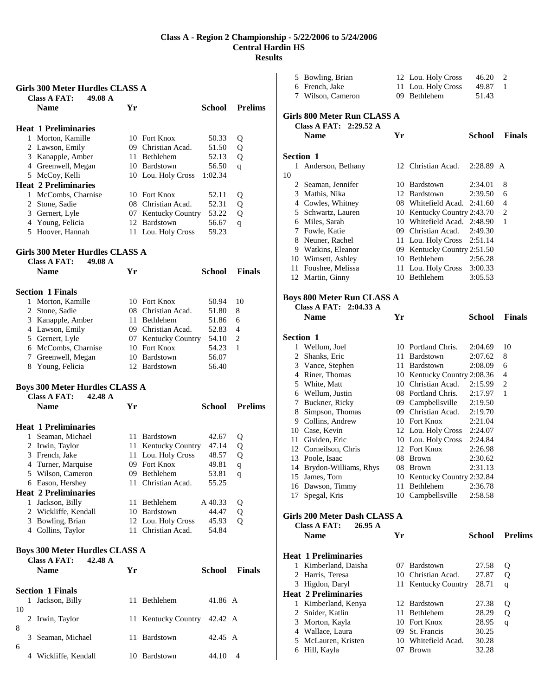#### **Girls 300 Meter Hurdles CLASS A**

| 49.08 A<br><b>Class A FAT:</b><br><b>Name</b> | Yr  |                         | School  | <b>Prelims</b> |
|-----------------------------------------------|-----|-------------------------|---------|----------------|
| <b>Heat 1 Preliminaries</b>                   |     |                         |         |                |
| Morton, Kamille<br>1.                         | 10  | <b>Fort Knox</b>        | 50.33   | Q              |
| 2 Lawson, Emily                               | 09. | Christian Acad.         | 51.50   | Q              |
| 3 Kanapple, Amber                             | 11  | <b>Bethlehem</b>        | 52.13   | Q              |
| Greenwell, Megan<br>4                         | 10  | Bardstown               | 56.50   | q              |
| 5 McCoy, Kelli                                |     | 10 Lou. Holy Cross      | 1:02.34 |                |
| <b>Heat 2 Preliminaries</b>                   |     |                         |         |                |
| McCombs, Charnise                             | 10  | <b>Fort Knox</b>        | 52.11   | Q              |
| 2 Stone, Sadie                                | 08. | Christian Acad.         | 52.31   | Q              |
| 3 Gernert, Lyle                               | U/  | <b>Kentucky Country</b> | 53.22   | Q              |
| 4 Young, Felicia                              |     | 12 Bardstown            | 56.67   | q              |
| Hoover, Hannah<br>5                           |     | 11 Lou. Holy Cross      | 59.23   |                |
|                                               |     |                         |         |                |

# **Girls 300 Meter Hurdles CLASS A**

| <b>Name</b>     | Yr                                                                                                                                                                                       | School                                                                                                                   | <b>Finals</b>       |
|-----------------|------------------------------------------------------------------------------------------------------------------------------------------------------------------------------------------|--------------------------------------------------------------------------------------------------------------------------|---------------------|
|                 |                                                                                                                                                                                          |                                                                                                                          |                     |
| Morton, Kamille |                                                                                                                                                                                          | 50.94                                                                                                                    | 10                  |
|                 |                                                                                                                                                                                          | 51.80                                                                                                                    | 8                   |
|                 |                                                                                                                                                                                          | 51.86                                                                                                                    | 6                   |
|                 |                                                                                                                                                                                          | 52.83                                                                                                                    | 4                   |
|                 |                                                                                                                                                                                          | 54.10                                                                                                                    | 2                   |
|                 |                                                                                                                                                                                          | 54.23                                                                                                                    | 1                   |
|                 |                                                                                                                                                                                          | 56.07                                                                                                                    |                     |
| Young, Felicia  |                                                                                                                                                                                          | 56.40                                                                                                                    |                     |
|                 | Class A FAT: $49.08 \text{ A}$<br><b>Section 1 Finals</b><br>L<br>2 Stone, Sadie<br>3 Kanapple, Amber<br>4 Lawson, Emily<br>5 Gernert, Lyle<br>6 McCombs, Charnise<br>7 Greenwell, Megan | 10 Fort Knox<br>08 Christian Acad.<br>11 Bethlehem<br>09 Christian Acad.<br>10 Fort Knox<br>10 Bardstown<br>12 Bardstown | 07 Kentucky Country |

#### **Boys 300 Meter Hurdles CLASS A**

|   | 42.48 A<br><b>Class A FAT:</b> |          |                     |         |                |
|---|--------------------------------|----------|---------------------|---------|----------------|
|   | <b>Name</b>                    | Yr       |                     | School  | <b>Prelims</b> |
|   | Heat 1 Preliminaries           |          |                     |         |                |
| 1 | Seaman, Michael                | 11       | <b>Bardstown</b>    | 42.67   | Q              |
|   | 2 Irwin, Taylor                |          | 11 Kentucky Country | 47.14   | Q              |
| 3 | French, Jake                   |          | 11 Lou. Holy Cross  | 48.57   | Q              |
|   | 4 Turner, Marquise             | 09       | Fort Knox           | 49.81   | q              |
|   | 5 Wilson, Cameron              | $^{(9)}$ | Bethlehem           | 53.81   | q              |
|   | 6 Eason, Hershey               |          | 11 Christian Acad.  | 55.25   |                |
|   | <b>Heat 2 Preliminaries</b>    |          |                     |         |                |
| L | Jackson, Billy                 | 11       | <b>Bethlehem</b>    | A 40.33 | Q              |
| 2 | Wickliffe, Kendall             | 10       | <b>Bardstown</b>    | 44.47   | Q              |
| 3 | Bowling, Brian                 |          | 12 Lou. Holy Cross  | 45.93   | Q              |
| 4 | Collins, Taylor                | 11.      | Christian Acad.     | 54.84   |                |
|   |                                |          |                     |         |                |

# **Boys 300 Meter Hurdles CLASS A**

|    |   | 42.48 A<br>Class A FAT:<br><b>Name</b> | Yr |                     | School  | <b>Finals</b> |
|----|---|----------------------------------------|----|---------------------|---------|---------------|
|    |   | <b>Section 1 Finals</b>                |    |                     |         |               |
|    | 1 | Jackson, Billy                         | 11 | Bethlehem           | 41.86 A |               |
| 10 |   |                                        |    |                     |         |               |
| 8  |   | 2 Irwin, Taylor                        |    | 11 Kentucky Country | 42.42 A |               |
|    | 3 | Seaman, Michael                        | 11 | <b>Bardstown</b>    | 42.45 A |               |
| 6  |   |                                        |    |                     |         |               |
|    |   | Wickliffe, Kendall                     | 10 | Bardstown           | 44.10   | 4             |

|                  | 5 Bowling, Brian                                      |     | 12 Lou. Holy Cross                          | 46.20              | 2              |
|------------------|-------------------------------------------------------|-----|---------------------------------------------|--------------------|----------------|
|                  | 6 French, Jake                                        |     | 11 Lou. Holy Cross                          | 49.87              | 1              |
|                  | 7 Wilson, Cameron                                     | 09  | Bethlehem                                   | 51.43              |                |
|                  |                                                       |     |                                             |                    |                |
|                  | Girls 800 Meter Run CLASS A<br>Class A FAT: 2:29.52 A |     |                                             |                    |                |
|                  | <b>Name</b>                                           | Yr  |                                             | <b>School</b>      | <b>Finals</b>  |
|                  |                                                       |     |                                             |                    |                |
| Section 1        |                                                       |     |                                             |                    |                |
| 1                | Anderson, Bethany                                     |     | 12 Christian Acad.                          | 2:28.89 A          |                |
| 10               |                                                       |     |                                             |                    |                |
|                  | 2 Seaman, Jennifer                                    |     | 10 Bardstown                                | 2:34.01            | 8              |
|                  | 3 Mathis, Nika                                        |     | 12 Bardstown                                | 2:39.50            | 6              |
|                  | 4 Cowles, Whitney                                     |     | 08 Whitefield Acad.                         | 2:41.60            | 4              |
|                  | 5 Schwartz, Lauren                                    |     | 10 Kentucky Country 2:43.70                 |                    | 2              |
|                  | 6 Miles, Sarah                                        |     | 10 Whitefield Acad.                         | 2:48.90            | 1              |
|                  | 7 Fowle, Katie                                        |     | 09 Christian Acad.                          | 2:49.30            |                |
|                  | 8 Neuner, Rachel                                      |     | 11 Lou. Holy Cross                          | 2:51.14            |                |
|                  | 9 Watkins, Eleanor                                    |     | 09 Kentucky Country 2:51.50<br>10 Bethlehem | 2:56.28            |                |
|                  | 10 Wimsett, Ashley                                    |     |                                             |                    |                |
|                  | 11 Foushee, Melissa                                   |     | 11 Lou. Holy Cross<br>10 Bethlehem          | 3:00.33            |                |
|                  | 12 Martin, Ginny                                      |     |                                             | 3:05.53            |                |
|                  | <b>Boys 800 Meter Run CLASS A</b>                     |     |                                             |                    |                |
|                  | Class A FAT: 2:04.33 A                                |     |                                             |                    |                |
|                  | <b>Name</b>                                           | Yr  |                                             | <b>School</b>      | <b>Finals</b>  |
|                  |                                                       |     |                                             |                    |                |
| <b>Section 1</b> |                                                       |     |                                             |                    |                |
|                  | 1 Wellum, Joel                                        |     | 10 Portland Chris.                          | 2:04.69            | 10             |
|                  | 2 Shanks, Eric                                        |     | 11 Bardstown                                | 2:07.62            | 8              |
|                  | 3 Vance, Stephen                                      |     | 11 Bardstown                                | 2:08.09            | 6              |
|                  | 4 Riner, Thomas                                       |     | 10 Kentucky Country 2:08.36                 |                    | 4              |
|                  | 5 White, Matt                                         |     | 10 Christian Acad.                          | 2:15.99            | $\overline{c}$ |
|                  | 6 Wellum, Justin                                      |     | 08 Portland Chris.                          | 2:17.97            | 1              |
|                  | 7 Buckner, Ricky                                      |     | 09 Campbellsville                           | 2:19.50            |                |
|                  | 8 Simpson, Thomas                                     |     | 09 Christian Acad.                          | 2:19.70            |                |
|                  | 9 Collins, Andrew                                     |     | 10 Fort Knox                                | 2:21.04            |                |
|                  | 10 Case, Kevin                                        |     | 12 Lou. Holy Cross                          | 2:24.07            |                |
|                  | 11 Gividen, Eric                                      |     | 10 Lou. Holy Cross                          | 2:24.84            |                |
|                  | 12 Corneilson, Chris                                  |     | 12 Fort Knox                                | 2:26.98            |                |
|                  | 13 Poole, Isaac                                       |     | 08 Brown                                    | 2:30.62            |                |
| 14               | Brydon-Williams, Rhys                                 |     | 08 Brown                                    | 2:31.13            |                |
| 15               | James, Tom                                            |     | 10 Kentucky Country 2:32.84                 |                    |                |
|                  | 16 Dawson, Timmy<br>17 Spegal, Kris                   | 11  | Bethlehem<br>10 Campbellsville              | 2:36.78<br>2:58.58 |                |
|                  |                                                       |     |                                             |                    |                |
|                  | Girls 200 Meter Dash CLASS A                          |     |                                             |                    |                |
|                  | <b>Class A FAT:</b><br>26.95 A                        |     |                                             |                    |                |
|                  | <b>Name</b>                                           | Yr  |                                             | <b>School</b>      | <b>Prelims</b> |
|                  |                                                       |     |                                             |                    |                |
|                  | <b>Heat 1 Preliminaries</b>                           |     |                                             |                    |                |
|                  | 1 Kimberland, Daisha                                  |     | 07 Bardstown                                | 27.58              | Q              |
|                  | 2 Harris, Teresa                                      |     | 10 Christian Acad.                          | 27.87              | Q              |
|                  | 3 Higdon, Daryl                                       | 11- | Kentucky Country                            | 28.71              | q              |
|                  | <b>Heat 2 Preliminaries</b>                           |     |                                             |                    |                |
|                  | 1 Kimberland, Kenya                                   |     | 12 Bardstown                                | 27.38              | Q              |
|                  | 2 Snider, Katlin                                      |     | 11 Bethlehem                                | 28.29              | Q              |
|                  | 3 Morton, Kayla                                       |     | 10 Fort Knox                                | 28.95              | q              |
|                  | 4 Wallace, Laura                                      |     | 09 St. Francis                              | 30.25              |                |
|                  | 5 McLauren, Kristen                                   |     | 10 Whitefield Acad.                         | 30.28              |                |
|                  | 6 Hill, Kayla                                         | 07  | <b>Brown</b>                                | 32.28              |                |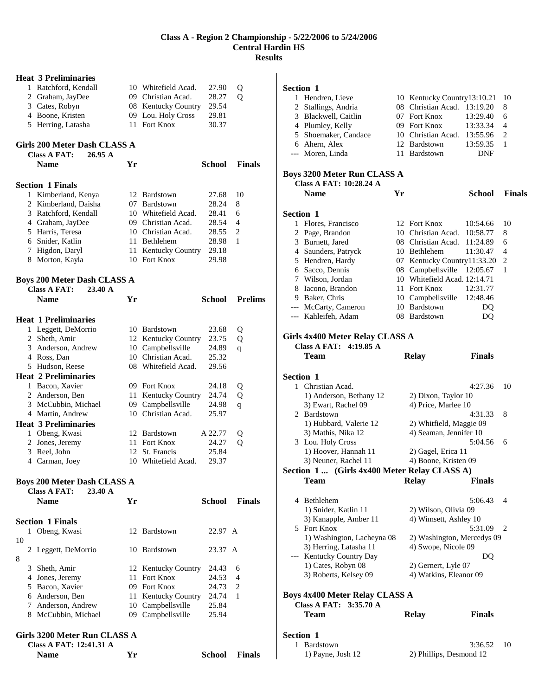|    | <b>Heat 3 Preliminaries</b>                             |    |                           |               |                |
|----|---------------------------------------------------------|----|---------------------------|---------------|----------------|
|    | 1 Ratchford, Kendall                                    |    | 10 Whitefield Acad.       | 27.90         | Q              |
|    | 2 Graham, JayDee                                        |    | 09 Christian Acad.        | 28.27         | Q              |
|    | 3 Cates, Robyn                                          |    | 08 Kentucky Country       | 29.54         |                |
|    | 4 Boone, Kristen                                        |    | 09 Lou. Holy Cross        | 29.81         |                |
|    | 5 Herring, Latasha                                      |    | 11 Fort Knox              | 30.37         |                |
|    | Girls 200 Meter Dash CLASS A                            |    |                           |               |                |
|    | <b>Class A FAT:</b><br>26.95A                           |    |                           |               |                |
|    | <b>Name</b>                                             | Yr |                           | <b>School</b> | <b>Finals</b>  |
|    | <b>Section 1 Finals</b>                                 |    |                           |               |                |
|    | 1 Kimberland, Kenya                                     |    | 12 Bardstown              | 27.68         | 10             |
|    | 2 Kimberland, Daisha                                    |    | 07 Bardstown              | 28.24         | 8              |
|    | 3 Ratchford, Kendall                                    |    | 10 Whitefield Acad.       | 28.41         | 6              |
|    | 4 Graham, JayDee                                        |    | 09 Christian Acad.        | 28.54         | $\overline{4}$ |
|    | 5 Harris, Teresa                                        |    | 10 Christian Acad.        | 28.55         | 2              |
|    | 6 Snider, Katlin                                        |    | 11 Bethlehem              | 28.98         | 1              |
|    | 7 Higdon, Daryl                                         |    | 11 Kentucky Country       | 29.18         |                |
|    | 8 Morton, Kayla                                         |    | 10 Fort Knox              | 29.98         |                |
|    |                                                         |    |                           |               |                |
|    | <b>Boys 200 Meter Dash CLASS A</b>                      |    |                           |               |                |
|    | <b>Class A FAT:</b><br>23.40A                           |    |                           |               |                |
|    | <b>Name</b>                                             | Yr |                           | School        | <b>Prelims</b> |
|    | <b>Heat 1 Preliminaries</b>                             |    |                           |               |                |
|    | 1 Leggett, DeMorrio                                     |    | 10 Bardstown              | 23.68         | Q              |
|    | 2 Sheth, Amir                                           |    | 12 Kentucky Country       | 23.75         | Q              |
|    | 3 Anderson, Andrew                                      |    | 10 Campbellsville         | 24.89         | q              |
|    | 4 Ross, Dan                                             |    | 10 Christian Acad.        | 25.32         |                |
|    | 5 Hudson, Reese                                         |    | 08 Whitefield Acad.       | 29.56         |                |
|    | <b>Heat 2 Preliminaries</b>                             |    |                           |               |                |
|    | 1 Bacon, Xavier                                         |    | 09 Fort Knox              | 24.18         | Q              |
|    | 2 Anderson, Ben                                         |    | 11 Kentucky Country       | 24.74         | Q              |
|    | 3 McCubbin, Michael                                     |    | 09 Campbellsville         | 24.98         | q              |
|    | 4 Martin, Andrew                                        |    | 10 Christian Acad.        | 25.97         |                |
|    | <b>Heat 3 Preliminaries</b>                             |    |                           |               |                |
|    | 1 Obeng, Kwasi                                          |    | 12 Bardstown              | A 22.77       | Q              |
|    | 2 Jones, Jeremy                                         |    | 11 Fort Knox              | 24.27         | Q              |
|    | 3 Reel, John                                            |    | 12 St. Francis            | 25.84         |                |
|    | 4 Carman, Joey                                          |    | 10 Whitefield Acad.       | 29.37         |                |
|    |                                                         |    |                           |               |                |
|    | <b>Boys 200 Meter Dash CLASS A</b>                      |    |                           |               |                |
|    | <b>Class A FAT:</b><br>23.40A                           |    |                           | School        |                |
|    | <b>Name</b>                                             | Yr |                           |               | <b>Finals</b>  |
|    | <b>Section 1 Finals</b>                                 |    |                           |               |                |
|    | 1 Obeng, Kwasi                                          |    | 12 Bardstown              | 22.97 A       |                |
| 10 |                                                         |    |                           |               |                |
|    | 2 Leggett, DeMorrio                                     |    | 10 Bardstown              | 23.37 A       |                |
| 8  |                                                         |    |                           |               |                |
|    | 3 Sheth, Amir                                           |    | 12 Kentucky Country       | 24.43         | 6              |
|    | 4 Jones, Jeremy                                         |    | 11 Fort Knox              | 24.53         | 4              |
|    | 5 Bacon, Xavier                                         |    | 09 Fort Knox              | 24.73         | 2              |
|    | 6 Anderson, Ben                                         |    | 11 Kentucky Country 24.74 |               | 1              |
|    | 7 Anderson, Andrew                                      |    | 10 Campbellsville         | 25.84         |                |
|    | 8 McCubbin, Michael                                     |    | 09 Campbellsville         | 25.94         |                |
|    |                                                         |    |                           |               |                |
|    | Girls 3200 Meter Run CLASS A<br>Class A FAT: 12:41.31 A |    |                           |               |                |

**Name Yr School Finals** 

|                  | Section 1                                                            |    |                                               |               |                |
|------------------|----------------------------------------------------------------------|----|-----------------------------------------------|---------------|----------------|
|                  | 1 Hendren, Lieve                                                     |    | 10 Kentucky Country13:10.21                   |               | 10             |
|                  | 2 Stallings, Andria                                                  |    | 08 Christian Acad.                            | 13:19.20      | 8              |
|                  | 3 Blackwell, Caitlin                                                 |    | 07 Fort Knox                                  | 13:29.40      | 6              |
|                  | 4 Plumley, Kelly                                                     |    | 09 Fort Knox                                  | 13:33.34      | 4              |
|                  | 5 Shoemaker, Candace                                                 |    | 10 Christian Acad.                            | 13:55.96      | 2              |
|                  | 6 Ahern, Alex                                                        |    | 12 Bardstown                                  | 13:59.35      | 1              |
|                  | --- Moren, Linda                                                     |    | 11 Bardstown                                  | DNF           |                |
|                  | <b>Boys 3200 Meter Run CLASS A</b><br><b>Class A FAT: 10:28.24 A</b> |    |                                               |               |                |
|                  | <b>Name</b>                                                          | Yr |                                               | <b>School</b> | <b>Finals</b>  |
| <b>Section 1</b> |                                                                      |    |                                               |               |                |
|                  | 1 Flores, Francisco                                                  |    | 12 Fort Knox                                  | 10:54.66      | 10             |
|                  | 2 Page, Brandon                                                      |    | 10 Christian Acad.                            | 10:58.77      | 8              |
|                  | 3 Burnett, Jared                                                     |    | 08 Christian Acad.                            | 11:24.89      | 6              |
|                  | 4 Saunders, Patryck                                                  |    | 10 Bethlehem                                  | 11:30.47      | 4              |
|                  | 5 Hendren, Hardy                                                     |    | 07 Kentucky Country11:33.20                   |               | 2              |
|                  | 6 Sacco, Dennis                                                      |    | 08 Campbellsville                             | 12:05.67      | 1              |
|                  | 7 Wilson, Jordan                                                     |    | 10 Whitefield Acad. 12:14.71                  |               |                |
|                  | 8 Iacono, Brandon                                                    |    | 11 Fort Knox                                  | 12:31.77      |                |
|                  | 9 Baker, Chris                                                       |    | 10 Campbellsville                             | 12:48.46      |                |
|                  | --- McCarty, Cameron                                                 |    | 10 Bardstown                                  | DQ            |                |
|                  | --- Kahleifeh, Adam                                                  |    | 08 Bardstown                                  | DQ            |                |
|                  | Girls 4x400 Meter Relay CLASS A<br>Class A FAT: 4:19.85 A            |    |                                               |               |                |
|                  | Team                                                                 |    | <b>Relay</b>                                  | <b>Finals</b> |                |
| <b>Section 1</b> |                                                                      |    |                                               |               |                |
|                  | 1 Christian Acad.                                                    |    |                                               | 4:27.36       | 10             |
|                  | 1) Anderson, Bethany 12                                              |    | 2) Dixon, Taylor 10                           |               |                |
|                  |                                                                      |    |                                               |               |                |
|                  | 3) Ewart, Rachel 09                                                  |    | 4) Price, Marlee 10                           |               |                |
|                  | 2 Bardstown                                                          |    |                                               | 4:31.33       | 8              |
|                  | 1) Hubbard, Valerie 12                                               |    | 2) Whitfield, Maggie 09                       |               |                |
|                  | 3) Mathis, Nika 12                                                   |    | 4) Seaman, Jennifer 10                        |               |                |
|                  | 3 Lou. Holy Cross                                                    |    |                                               | 5:04.56       | 6              |
|                  | 1) Hoover, Hannah 11                                                 |    | 2) Gagel, Erica 11                            |               |                |
|                  | 3) Neuner, Rachel 11                                                 |    | 4) Boone, Kristen 09                          |               |                |
|                  | Section 1  (Girls 4x400 Meter Relay CLASS A)                         |    |                                               |               |                |
|                  | Team                                                                 |    | <b>Relay</b>                                  | <b>Finals</b> |                |
|                  |                                                                      |    |                                               |               |                |
|                  | 4 Bethlehem                                                          |    |                                               | 5:06.43       | $\overline{4}$ |
|                  | 1) Snider, Katlin 11                                                 |    | 2) Wilson, Olivia 09                          |               |                |
|                  | 3) Kanapple, Amber 11                                                |    | 4) Wimsett, Ashley 10                         |               |                |
|                  | 5 Fort Knox                                                          |    |                                               | 5:31.09       | 2              |
|                  | 1) Washington, Lacheyna 08                                           |    | 2) Washington, Mercedys 09                    |               |                |
|                  | 3) Herring, Latasha 11                                               |    | 4) Swope, Nicole 09                           |               |                |
|                  | --- Kentucky Country Day                                             |    |                                               | DQ            |                |
|                  | 1) Cates, Robyn 08<br>3) Roberts, Kelsey 09                          |    | 2) Gernert, Lyle 07<br>4) Watkins, Eleanor 09 |               |                |
|                  |                                                                      |    |                                               |               |                |
|                  | <b>Boys 4x400 Meter Relay CLASS A</b>                                |    |                                               |               |                |
|                  | Class A FAT: 3:35.70 A<br><b>Team</b>                                |    | <b>Relay</b>                                  | <b>Finals</b> |                |
|                  |                                                                      |    |                                               |               |                |

| section 1         |                         |      |
|-------------------|-------------------------|------|
| 1 Bardstown       | 3:36.52                 | - 10 |
| 1) Payne, Josh 12 | 2) Phillips, Desmond 12 |      |